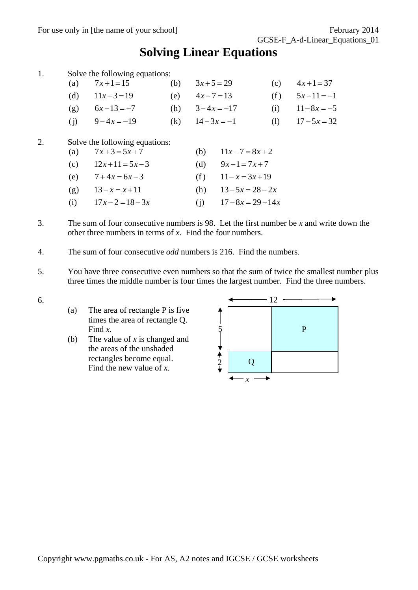## **Solving Linear Equations**

| 1. |                                 | Solve the following equations:                                                                                            |     |                                                                                                                                           |     |                |
|----|---------------------------------|---------------------------------------------------------------------------------------------------------------------------|-----|-------------------------------------------------------------------------------------------------------------------------------------------|-----|----------------|
|    | (a)                             | $7x+1=15$                                                                                                                 | (b) | $3x+5=29$                                                                                                                                 | (c) | $4x+1=37$      |
|    | (d)                             | $11x-3=19$                                                                                                                | (e) | $4x - 7 = 13$                                                                                                                             | (f) | $5x-11=-1$     |
|    | (g)                             | $6x-13=-7$                                                                                                                | (h) | $3-4x = -17$                                                                                                                              | (i) | $11 - 8x = -5$ |
|    | (j)                             | $9-4x=-19$                                                                                                                | (k) | $14-3x=-1$                                                                                                                                | (1) | $17 - 5x = 32$ |
| 2. | (a)<br>(c)<br>(e)<br>(g)<br>(i) | Solve the following equations:<br>$7x+3=5x+7$<br>$12x+11=5x-3$<br>$7+4x=6x-3$<br>$13 - x = x + 11$<br>$17x - 2 = 18 - 3x$ |     | $11x - 7 = 8x + 2$<br>(b)<br>(d)<br>$9x-1=7x+7$<br>$11 - x = 3x + 19$<br>(f)<br>$13 - 5x = 28 - 2x$<br>(h)<br>$17 - 8x = 29 - 14x$<br>(i) |     |                |

- 3. The sum of four consecutive numbers is 98. Let the first number be *x* and write down the other three numbers in terms of *x*. Find the four numbers.
- 4. The sum of four consecutive *odd* numbers is 216. Find the numbers.
- 5. You have three consecutive even numbers so that the sum of twice the smallest number plus three times the middle number is four times the largest number. Find the three numbers.
- 6.
- (a) The area of rectangle P is five times the area of rectangle Q. Find *x*.
- (b) The value of *x* is changed and the areas of the unshaded rectangles become equal. Find the new value of *x*.

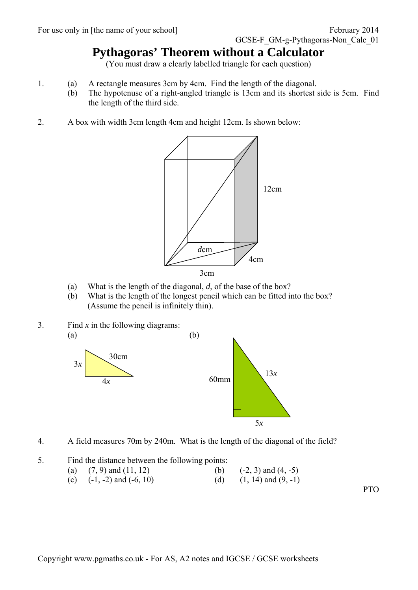## **Pythagoras' Theorem without a Calculator**

(You must draw a clearly labelled triangle for each question)

- 1. (a) A rectangle measures 3cm by 4cm. Find the length of the diagonal.
	- (b) The hypotenuse of a right-angled triangle is 13cm and its shortest side is 5cm. Find the length of the third side.
- 2. A box with width 3cm length 4cm and height 12cm. Is shown below:



- (a) What is the length of the diagonal, *d*, of the base of the box?
- (b) What is the length of the longest pencil which can be fitted into the box? (Assume the pencil is infinitely thin).
- 3. Find *x* in the following diagrams:  $(a)$  (b)





4. A field measures 70m by 240m. What is the length of the diagonal of the field?

5. Find the distance between the following points: (a)  $(7, 9)$  and  $(11, 12)$  (b)  $(-2, 3)$  and  $(4, -5)$ (c)  $(-1, -2)$  and  $(-6, 10)$  (d)  $(1, 14)$  and  $(9, -1)$ 

PTO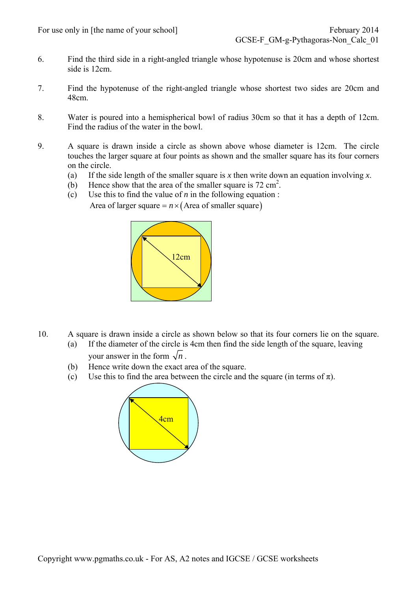- 6. Find the third side in a right-angled triangle whose hypotenuse is 20cm and whose shortest side is 12cm.
- 7. Find the hypotenuse of the right-angled triangle whose shortest two sides are 20cm and 48cm.
- 8. Water is poured into a hemispherical bowl of radius 30cm so that it has a depth of 12cm. Find the radius of the water in the bowl.
- 9. A square is drawn inside a circle as shown above whose diameter is 12cm. The circle touches the larger square at four points as shown and the smaller square has its four corners on the circle.
	- (a) If the side length of the smaller square is *x* then write down an equation involving *x*.
	- (b) Hence show that the area of the smaller square is  $72 \text{ cm}^2$ .
	- (c) Use this to find the value of *n* in the following equation : Area of larger square  $= n \times ($ Area of smaller square)



- 10. A square is drawn inside a circle as shown below so that its four corners lie on the square. (a) If the diameter of the circle is 4cm then find the side length of the square, leaving
	- your answer in the form  $\sqrt{n}$ .
	- (b) Hence write down the exact area of the square.
	- (c) Use this to find the area between the circle and the square (in terms of  $\pi$ ).

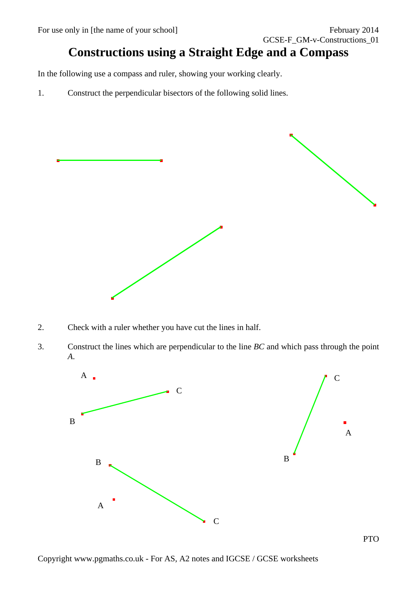## **Constructions using a Straight Edge and a Compass**

In the following use a compass and ruler, showing your working clearly.

1. Construct the perpendicular bisectors of the following solid lines.



- 2. Check with a ruler whether you have cut the lines in half.
- 3. Construct the lines which are perpendicular to the line *BC* and which pass through the point *A*.

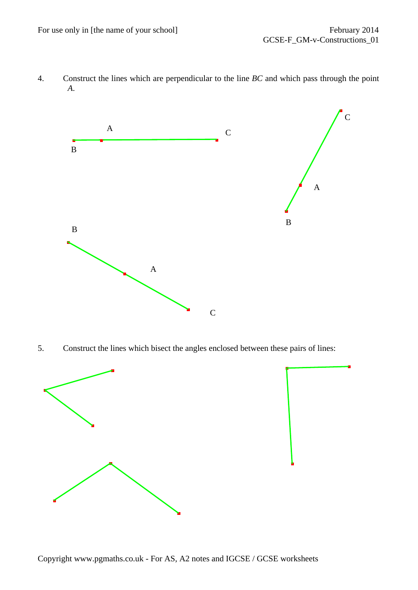4. Construct the lines which are perpendicular to the line *BC* and which pass through the point *A*.



5. Construct the lines which bisect the angles enclosed between these pairs of lines:

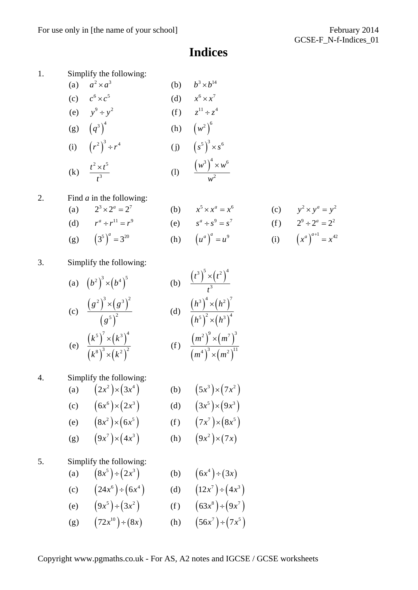## **Indices**

1. Simplify the following:

(a) 
$$
a^2 \times a^3
$$
  
\n(b)  $b^3 \times b^{14}$   
\n(c)  $c^6 \times c^5$   
\n(d)  $x^6 \times x^7$   
\n(e)  $y^9 \div y^2$   
\n(f)  $z^{11} \div z^4$   
\n(g)  $(q^3)^4$   
\n(h)  $(w^2)^6$   
\n(i)  $(r^2)^3 \div r^4$   
\n(j)  $(s^5)^3 \times s^6$   
\n(k)  $\frac{t^2 \times t^5}{t^3}$   
\n(l)  $\frac{(w^3)^4 \times w^6}{w^2}$ 

2. Find *a* in the following:

(a) 
$$
2^3 \times 2^a = 2^7
$$
  
\n(b)  $x^5 \times x^a = x^6$   
\n(c)  $y^2 \times y^a = y^2$   
\n(d)  $r^a \div r^{11} = r^9$   
\n(e)  $s^a \div s^9 = s^7$   
\n(f)  $2^9 \div 2^a = 2^2$ 

(g) 
$$
(3^5)^a = 3^{20}
$$
 (h)  $(u^a)^a = u^9$  (i)  $(x^a)^{a+1} = x^{42}$ 

3. Simplify the following:

(a) 
$$
(b^2)^3 \times (b^4)^5
$$
  
\n(b)  $\frac{(t^3)^5 \times (t^2)^4}{t^3}$   
\n(c)  $\frac{(g^2)^3 \times (g^3)^2}{(g^5)^2}$   
\n(d)  $\frac{(h^3)^4 \times (h^2)^7}{(h^5)^2 \times (h^3)^4}$   
\n(e)  $\frac{(k^5)^7 \times (k^3)^4}{(k^8)^3 \times (k^2)^2}$   
\n(f)  $\frac{(m^2)^9 \times (m^7)^3}{(m^4)^3 \times (m^2)^{11}}$ 

4. Simplify the following:

(a) 
$$
(2x^2) \times (3x^4)
$$
 (b)  $(5x^3) \times (7x^2)$   
\n(c)  $(6x^6) \times (2x^3)$  (d)  $(3x^5) \times (9x^3)$   
\n(e)  $(8x^2) \times (6x^5)$  (f)  $(7x^7) \times (8x^5)$ 

(g) 
$$
(9x^7) \times (4x^3)
$$
 (h)  $(9x^2) \times (7x)$ 

5. Simplify the following:

(a) 
$$
(8x^5) \div (2x^3)
$$
 (b)  $(6x^4) \div (3x)$   
\n(c)  $(24x^6) \div (6x^4)$  (d)  $(12x^7) \div (4x^3)$   
\n(e)  $(9x^5) \div (3x^2)$  (f)  $(63x^8) \div (9x^7)$   
\n(g)  $(72x^{10}) \div (8x)$  (h)  $(56x^7) \div (7x^5)$ 

Copyright www.pgmaths.co.uk - For AS, A2 notes and IGCSE / GCSE worksheets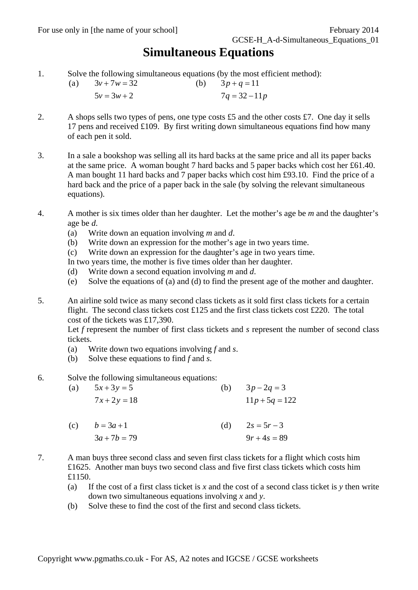### **Simultaneous Equations**

1. Solve the following simultaneous equations (by the most efficient method):

(a)  $3v + 7w = 32$  (b)  $3p + q = 11$  $5v = 3w + 2$   $7q = 32 - 11p$ 

- 2. A shops sells two types of pens, one type costs  $\pounds 5$  and the other costs  $\pounds 7$ . One day it sells 17 pens and received £109. By first writing down simultaneous equations find how many of each pen it sold.
- 3. In a sale a bookshop was selling all its hard backs at the same price and all its paper backs at the same price. A woman bought 7 hard backs and 5 paper backs which cost her £61.40. A man bought 11 hard backs and 7 paper backs which cost him £93.10. Find the price of a hard back and the price of a paper back in the sale (by solving the relevant simultaneous equations).
- 4. A mother is six times older than her daughter. Let the mother's age be *m* and the daughter's age be *d*.
	- (a) Write down an equation involving *m* and *d*.
	- (b) Write down an expression for the mother's age in two years time.
	- (c) Write down an expression for the daughter's age in two years time.

In two years time, the mother is five times older than her daughter.

- (d) Write down a second equation involving *m* and *d*.
- (e) Solve the equations of (a) and (d) to find the present age of the mother and daughter.
- 5. An airline sold twice as many second class tickets as it sold first class tickets for a certain flight. The second class tickets cost £125 and the first class tickets cost £220. The total cost of the tickets was £17,390.

Let *f* represent the number of first class tickets and *s* represent the number of second class tickets.

- (a) Write down two equations involving *f* and *s*.
- (b) Solve these equations to find *f* and *s*.
- 6. Solve the following simultaneous equations:

 $7x+2y=18$   $11p+5q=122$ (a)  $5x+3y=5$  (b)  $3p-2q=3$ (b)  $3p-2q=3$  $b = 3a + 1$  (d)  $7x + 2y = 18$ 

- $3a + 7b = 79$   $9r + 4s = 89$ (c)  $b = 3a + 1$  (d)  $2s = 5r - 3$
- 7. A man buys three second class and seven first class tickets for a flight which costs him £1625. Another man buys two second class and five first class tickets which costs him £1150.
	- (a) If the cost of a first class ticket is *x* and the cost of a second class ticket is *y* then write down two simultaneous equations involving *x* and *y*.
	- (b) Solve these to find the cost of the first and second class tickets.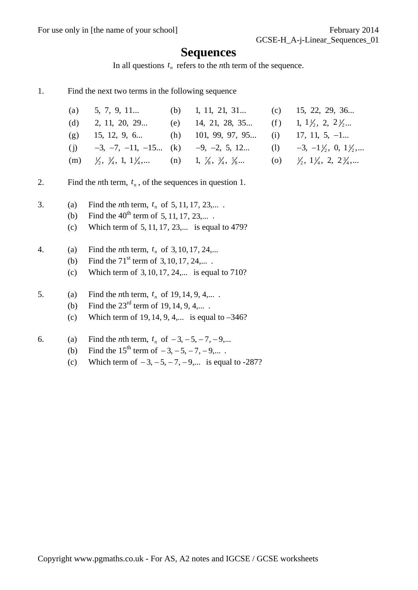For use only in [the name of your school] February 2014

### **Sequences**

In all questions  $t_n$  refers to the *n*th term of the sequence.

1. Find the next two terms in the following sequence

| (a) $5, 7, 9, 11$ (b) $1, 11, 21, 31$ (c) $15, 22, 29, 36$                                                                                                               |                                                              |  |
|--------------------------------------------------------------------------------------------------------------------------------------------------------------------------|--------------------------------------------------------------|--|
| (d) 2, 11, 20, 29                                                                                                                                                        | (e) 14, 21, 28, 35 (f) 1, $1\frac{1}{2}$ , 2, $2\frac{1}{2}$ |  |
| (g) 15, 12, 9, 6 (h) 101, 99, 97, 95 (i) 17, 11, 5, -1                                                                                                                   |                                                              |  |
| (j) $-3, -7, -11, -15$ (k) $-9, -2, 5, 12$ (l) $-3, -1\frac{1}{2}, 0, 1\frac{1}{2},$                                                                                     |                                                              |  |
| (m) $\frac{1}{2}$ , $\frac{3}{4}$ , 1, 1 $\frac{1}{4}$ , (n) 1, $\frac{7}{8}$ , $\frac{3}{4}$ , $\frac{5}{8}$ (o) $\frac{1}{2}$ , 1 $\frac{1}{4}$ , 2, 2 $\frac{3}{4}$ , |                                                              |  |

- 2. Find the *n*th term,  $t_n$ , of the sequences in question 1.
- 3. (a) Find the *n*th term,  $t_n$  of 5, 11, 17, 23,...
	- (b) Find the  $40^{th}$  term of 5, 11, 17, 23,....
	- (c) Which term of  $5, 11, 17, 23,...$  is equal to 479?
- 4. (a) Find the *n*th term,  $t_n$  of 3, 10, 17, 24,...
	- (b) Find the  $71^{\text{st}}$  term of 3, 10, 17, 24,....
	- (c) Which term of  $3, 10, 17, 24,...$  is equal to  $710$ ?
- 5. (a) Find the *n*th term,  $t_n$  of 19, 14, 9, 4,....
	- (b) Find the  $23^{\text{rd}}$  term of 19, 14, 9, 4,....
	- (c) Which term of 19, 14, 9, 4,... is equal to  $-346$ ?
- 6. (a) Find the *n*th term,  $t_n$  of  $-3, -5, -7, -9,...$ 
	- (b) Find the  $15^{th}$  term of  $-3, -5, -7, -9,...$ .
	- (c) Which term of  $-3, -5, -7, -9,...$  is equal to -287?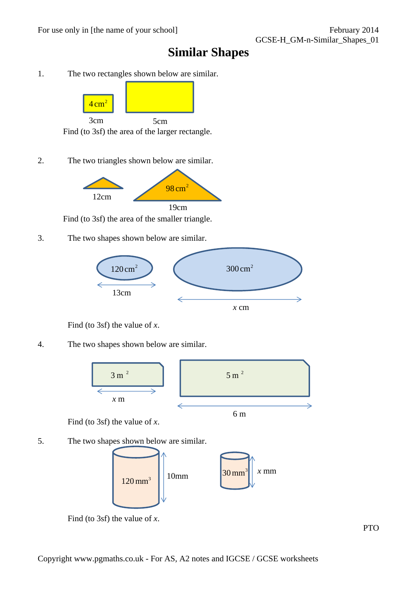### **Similar Shapes**

1. The two rectangles shown below are similar.



2. The two triangles shown below are similar.



Find (to 3sf) the area of the smaller triangle.

3. The two shapes shown below are similar.



Find (to 3sf) the value of *x*.

#### 4. The two shapes shown below are similar.



Find (to 3sf) the value of *x*.

5. The two shapes shown below are similar.



Find (to 3sf) the value of *x*.

PTO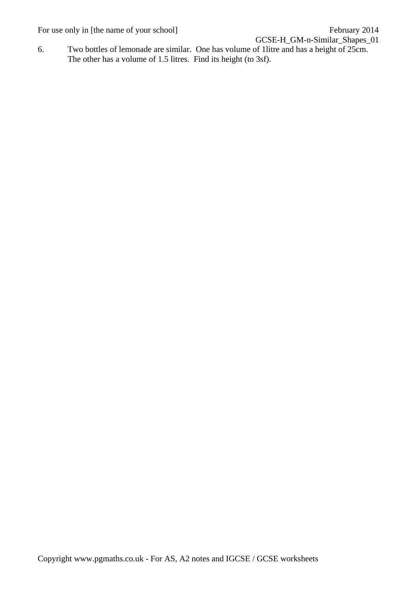For use only in [the name of your school] February 2014

GCSE-H\_GM-n-Similar\_Shapes\_01

6. Two bottles of lemonade are similar. One has volume of 1litre and has a height of 25cm. The other has a volume of 1.5 litres. Find its height (to 3sf).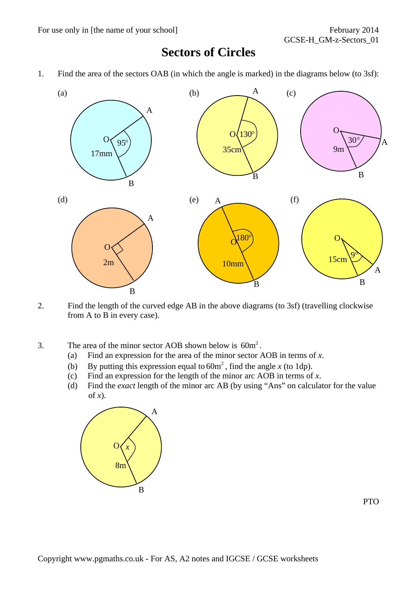### **Sectors of Circles**

1. Find the area of the sectors OAB (in which the angle is marked) in the diagrams below (to 3sf):



- 2. Find the length of the curved edge AB in the above diagrams (to 3sf) (travelling clockwise from A to B in every case).
- 3. The area of the minor sector AOB shown below is  $60m^2$ .
	- (a) Find an expression for the area of the minor sector AOB in terms of *x*.
	- (b) By putting this expression equal to  $60m^2$ , find the angle *x* (to 1dp).
	- (c) Find an expression for the length of the minor arc  $\overrightarrow{AOB}$  in terms of *x*.
	- (d) Find the *exact* length of the minor arc AB (by using "Ans" on calculator for the value of  $\dot{x}$ ).



PTO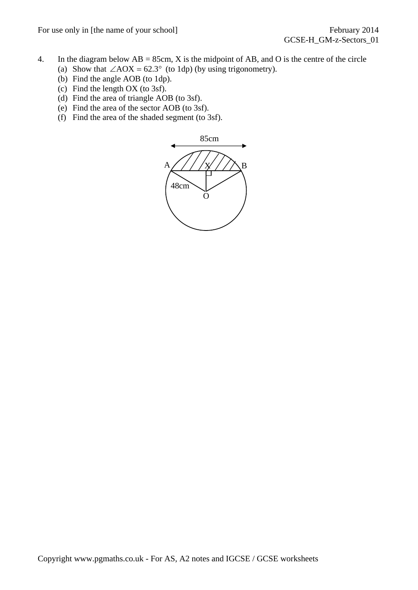For use only in [the name of your school] February 2014

- 4. In the diagram below  $AB = 85cm$ , X is the midpoint of AB, and O is the centre of the circle
	- (a) Show that  $\angle AOX = 62.3^\circ$  (to 1dp) (by using trigonometry).
	- (b) Find the angle AOB (to 1dp).
	- (c) Find the length OX (to 3sf).
	- (d) Find the area of triangle AOB (to 3sf).
	- (e) Find the area of the sector AOB (to 3sf).
	- (f) Find the area of the shaded segment (to 3sf).

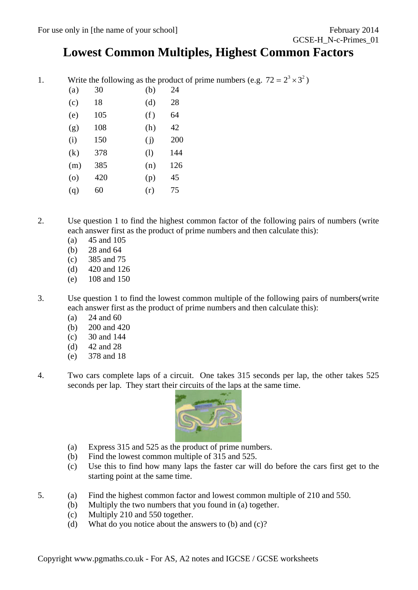### **Lowest Common Multiples, Highest Common Factors**

1. Write the following as the product of prime numbers (e.g.  $72 = 2^3 \times 3^2$ )

| (a)     | 30  | (b) | 24  |
|---------|-----|-----|-----|
| (c)     | 18  | (d) | 28  |
| (e)     | 105 | (f) | 64  |
| (g)     | 108 | (h) | 42  |
| (i)     | 150 | (i) | 200 |
| (k)     | 378 | (1) | 144 |
| (m)     | 385 | (n) | 126 |
| $\circ$ | 420 | (p) | 45  |
| (q)     | 60  | (r) | 75  |
|         |     |     |     |

2. Use question 1 to find the highest common factor of the following pairs of numbers (write each answer first as the product of prime numbers and then calculate this):

- (a) 45 and 105
- (b) 28 and 64
- (c) 385 and 75
- (d) 420 and 126
- (e) 108 and 150
- 3. Use question 1 to find the lowest common multiple of the following pairs of numbers(write each answer first as the product of prime numbers and then calculate this):
	- (a) 24 and 60
	- (b) 200 and 420
	- (c) 30 and 144
	- (d) 42 and 28
	- (e) 378 and 18
- 4. Two cars complete laps of a circuit. One takes 315 seconds per lap, the other takes 525 seconds per lap. They start their circuits of the laps at the same time.



- (a) Express 315 and 525 as the product of prime numbers.
- (b) Find the lowest common multiple of 315 and 525.
- (c) Use this to find how many laps the faster car will do before the cars first get to the starting point at the same time.
- 5. (a) Find the highest common factor and lowest common multiple of 210 and 550.
	- (b) Multiply the two numbers that you found in (a) together.
	- (c) Multiply 210 and 550 together.
	- (d) What do you notice about the answers to (b) and (c)?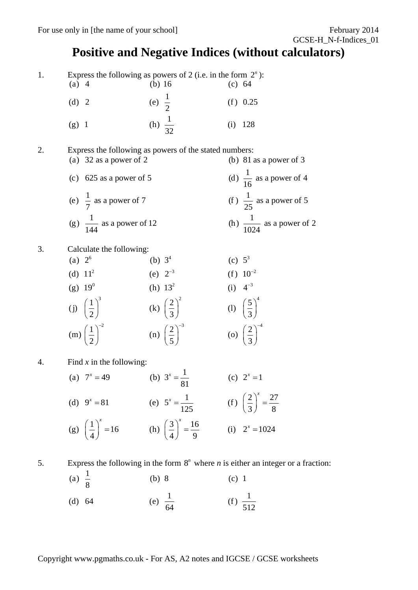### **Positive and Negative Indices (without calculators)**

1. Express the following as powers of 2 (i.e. in the form  $2^n$ ):<br>(a) 4 (b) 16 (c) 64

| $(a)$ 4 | (b) $16$<br>(c) 64 |            |
|---------|--------------------|------------|
| (d) 2   | (e) $\frac{1}{2}$  | $(f)$ 0.25 |
| $(g)$ 1 | (h) $\frac{1}{32}$ | $(i)$ 128  |

2. Express the following as powers of the stated numbers:

- (a)  $32$  as a power of 2 (b) 81 as a power of 3 (c) 625 as a power of 5 (d)  $\frac{1}{16}$  as a power of 4 (e)  $\frac{1}{7}$  as a power of 7 (f)  $\frac{1}{25}$  as a power of 5 (g)  $\frac{1}{144}$  as a power of 12 (h)  $\frac{1}{1024}$  as a power of 2
- 3. Calculate the following:
	- (a)  $2^6$  (b)  $3^4$  (c)  $5^3$ (d)  $11^2$  (e)  $2^{-3}$  (f)  $10^{-2}$ (g)  $19^0$  (h)  $13^2$  (i)  $4^{-3}$ (j)  $\left(\frac{1}{2}\right)^3$  (k)  $\left(\frac{2}{3}\right)^2$  (l)  $\left(\frac{5}{3}\right)^4$ (m)  $\left(\frac{1}{2}\right)^{-2}$  (n)  $\left(\frac{2}{5}\right)^{-3}$  (o)  $\left(\frac{2}{3}\right)^{-4}$ (f)  $10^{-2}$ (i)  $4^{-3}$
- 4. Find *x* in the following:
	- (a)  $7^x = 49$  (b)  $3^x = \frac{1}{81}$  (c)  $2^x = 1$ (d)  $9^x = 81$  (e)  $5^x = \frac{1}{125}$  (f)  $\left(\frac{2}{3}\right)^x = \frac{27}{8}$ (g)  $\left(\frac{1}{4}\right)^x = 16$  (h)  $\left(\frac{3}{4}\right)^x = \frac{16}{9}$  (i)  $2^x = 1024$  $x = 81$  (e)  $5^x = \frac{1}{125}$  (f)  $\left(\frac{2}{3}\right)^x =$  $\left(\frac{1}{4}\right)^{x} = 16$  (h)  $\left(\frac{3}{4}\right)^{x} = \frac{16}{9}$  (i)  $2^{x} =$

5. Express the following in the form 8*<sup>n</sup>* where *n* is either an integer or a fraction:

(a) 
$$
\frac{1}{8}
$$
 (b) 8 (c) 1  
(d) 64 (e)  $\frac{1}{64}$  (f)  $\frac{1}{512}$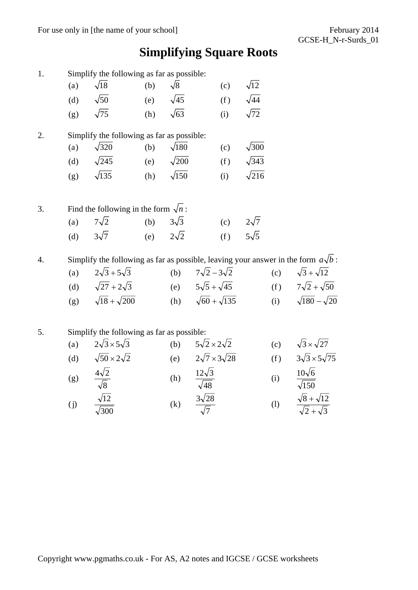# **Simplifying Square Roots**

| 1. |     | Simplify the following as far as possible:                                               |     |                   |                                   |     |              |     |                                                    |
|----|-----|------------------------------------------------------------------------------------------|-----|-------------------|-----------------------------------|-----|--------------|-----|----------------------------------------------------|
|    | (a) | $\sqrt{18}$                                                                              | (b) | $\sqrt{8}$        |                                   | (c) | $\sqrt{12}$  |     |                                                    |
|    | (d) | $\sqrt{50}$                                                                              | (e) | $\sqrt{45}$       |                                   | (f) | $\sqrt{44}$  |     |                                                    |
|    | (g) | $\sqrt{75}$                                                                              | (h) | $\sqrt{63}$       |                                   | (i) | $\sqrt{72}$  |     |                                                    |
| 2. |     | Simplify the following as far as possible:                                               |     |                   |                                   |     |              |     |                                                    |
|    | (a) | $\sqrt{320}$                                                                             | (b) | $\sqrt{180}$      |                                   | (c) | $\sqrt{300}$ |     |                                                    |
|    | (d) | $\sqrt{245}$                                                                             | (e) | $\sqrt{200}$      |                                   | (f) | $\sqrt{343}$ |     |                                                    |
|    | (g) | $\sqrt{135}$                                                                             | (h) | $\sqrt{150}$      |                                   | (i) | $\sqrt{216}$ |     |                                                    |
| 3. |     | Find the following in the form $\sqrt{n}$ :                                              |     |                   |                                   |     |              |     |                                                    |
|    | (a) | $7\sqrt{2}$                                                                              | (b) | $3\sqrt{3}$       |                                   | (c) | $2\sqrt{7}$  |     |                                                    |
|    | (d) | $3\sqrt{7}$                                                                              | (e) | $2\sqrt{2}$       |                                   | (f) | $5\sqrt{5}$  |     |                                                    |
| 4. |     | Simplify the following as far as possible, leaving your answer in the form $a\sqrt{b}$ : |     |                   |                                   |     |              |     |                                                    |
|    | (a) | $2\sqrt{3} + 5\sqrt{3}$                                                                  |     | (b)               | $7\sqrt{2}-3\sqrt{2}$             |     |              | (c) | $\sqrt{3} + \sqrt{12}$                             |
|    |     | (d) $\sqrt{27} + 2\sqrt{3}$                                                              |     |                   | (e) $5\sqrt{5} + \sqrt{45}$       |     |              | (f) | $7\sqrt{2}+\sqrt{50}$                              |
|    | (g) | $\sqrt{18} + \sqrt{200}$                                                                 |     |                   | (h) $\sqrt{60} + \sqrt{135}$      |     |              | (i) | $\sqrt{180}$ – $\sqrt{20}$                         |
| 5. |     | Simplify the following as far as possible:                                               |     |                   |                                   |     |              |     |                                                    |
|    | (a) | $2\sqrt{3} \times 5\sqrt{3}$                                                             |     | (b)               | $5\sqrt{2} \times 2\sqrt{2}$      |     |              | (c) | $\sqrt{3} \times \sqrt{27}$                        |
|    | (d) | $\sqrt{50} \times 2\sqrt{2}$                                                             |     |                   | (e) $2\sqrt{7} \times 3\sqrt{28}$ |     |              | (f) | $3\sqrt{3} \times 5\sqrt{75}$                      |
|    | (g) | $rac{4\sqrt{2}}{\sqrt{8}}$                                                               |     | (h)               | $12\sqrt{3}$<br>$\sqrt{48}$       |     |              | (i) | $10\sqrt{6}$<br>$\overline{\sqrt{150}}$            |
|    | (j) | $\frac{\sqrt{12}}{\sqrt{300}}$                                                           |     | $\left( k\right)$ | $\frac{3\sqrt{28}}{\sqrt{7}}$     |     |              | (1) | $\frac{\sqrt{8} + \sqrt{12}}{\sqrt{2} + \sqrt{3}}$ |
|    |     |                                                                                          |     |                   |                                   |     |              |     |                                                    |
|    |     |                                                                                          |     |                   |                                   |     |              |     |                                                    |
|    |     |                                                                                          |     |                   |                                   |     |              |     |                                                    |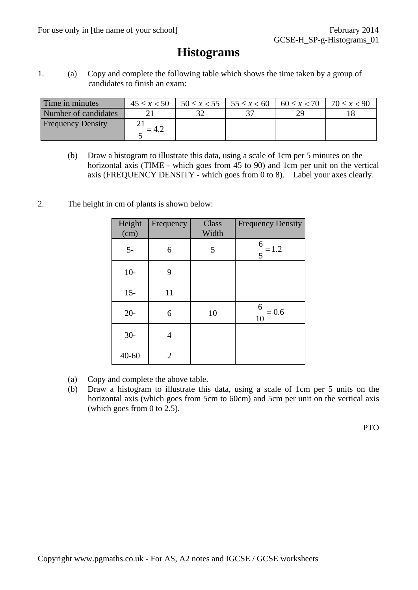### **Histograms**

1. (a) Copy and complete the following table which shows the time taken by a group of candidates to finish an exam:

| Time in minutes          | $45 \le x < 50$ | $50 \le x < 55$   $55 \le x < 60$ | $60 \le x < 70$ | $70 \le x < 90$ |
|--------------------------|-----------------|-----------------------------------|-----------------|-----------------|
| Number of candidates     |                 |                                   |                 |                 |
| <b>Frequency Density</b> |                 |                                   |                 |                 |

- (b) Draw a histogram to illustrate this data, using a scale of 1cm per 5 minutes on the horizontal axis (TIME - which goes from 45 to 90) and 1cm per unit on the vertical axis (FREQUENCY DENSITY - which goes from 0 to 8). Label your axes clearly.
- 2. The height in cm of plants is shown below:

| Height<br>(cm) | Frequency                   | Class<br>Width | <b>Frequency Density</b> |
|----------------|-----------------------------|----------------|--------------------------|
| $5-$           | 6                           | 5              | $\frac{6}{5} = 1.2$      |
| $10-$          | 9                           |                |                          |
| $15 -$         | 11                          |                |                          |
| $20-$          | 6                           | 10             | $\frac{6}{10} = 0.6$     |
| $30-$          | 4                           |                |                          |
| $40 - 60$      | $\mathcal{D}_{\mathcal{A}}$ |                |                          |

- (a) Copy and complete the above table.
- (b) Draw a histogram to illustrate this data, using a scale of 1cm per 5 units on the horizontal axis (which goes from 5cm to 60cm) and 5cm per unit on the vertical axis (which goes from 0 to 2.5).